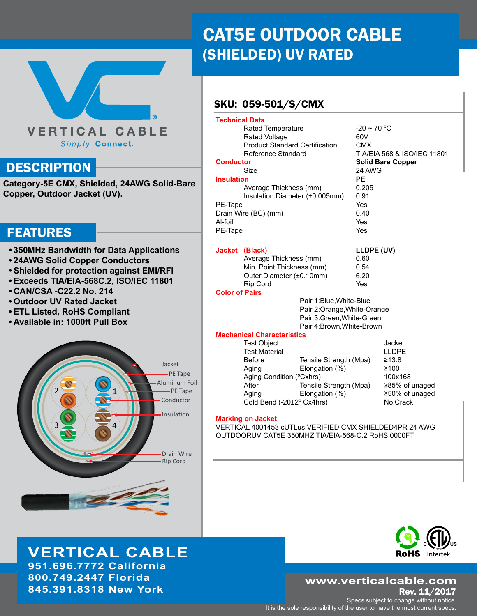# **VERTICAL CABLE** Simply Connect.

## **DESCRIPTION**

**Category-5E CMX, Shielded, 24AWG Solid-Bare Copper, Outdoor Jacket (UV).**

## FEATURES

- **• 350MHz Bandwidth for Data Applications**
- **• 24AWG Solid Copper Conductors**
- **• Shielded for protection against EMI/RFI**
- **• Exceeds TIA/EIA-568C.2, ISO/IEC 11801**
- **• CAN/CSA -C22.2 No. 214**
- **• Outdoor UV Rated Jacket**
- **• ETL Listed, RoHS Compliant**
- **• Available in: 1000ft Pull Box**



# **VERTICAL CABLE**

**951.696.7772 California 800.749.2447 Florida 845.391.8318 New York**

# CAT5E OUTDOOR CABLE (SHIELDED) UV RATED

## SKU: 059-501/S/CMX

| <b>Technical Data</b> |                                                       |                            |                          |                             |  |
|-----------------------|-------------------------------------------------------|----------------------------|--------------------------|-----------------------------|--|
|                       |                                                       |                            |                          |                             |  |
|                       | Rated Temperature                                     |                            | $-20 \sim 70$ °C         |                             |  |
|                       | Rated Voltage                                         |                            | 60V                      |                             |  |
|                       | <b>Product Standard Certification</b>                 |                            | <b>CMX</b>               |                             |  |
|                       | Reference Standard                                    |                            |                          | TIA/EIA 568 & ISO/IEC 11801 |  |
| <b>Conductor</b>      |                                                       |                            | <b>Solid Bare Copper</b> |                             |  |
| Size                  |                                                       |                            | 24 AWG                   |                             |  |
| <b>Insulation</b>     |                                                       |                            | PE                       |                             |  |
|                       | Average Thickness (mm)                                |                            | 0.205                    |                             |  |
|                       | Insulation Diameter (±0.005mm)                        |                            | 0.91                     |                             |  |
| PE-Tape               |                                                       |                            | Yes                      |                             |  |
| Drain Wire (BC) (mm)  |                                                       |                            | 0.40                     |                             |  |
| Al-foil               |                                                       |                            | Yes                      |                             |  |
| PE-Tape               |                                                       |                            | Yes                      |                             |  |
|                       |                                                       |                            |                          |                             |  |
|                       | Jacket (Black)                                        |                            | LLDPE (UV)               |                             |  |
|                       | Average Thickness (mm)                                |                            | 0.60                     |                             |  |
|                       | Min. Point Thickness (mm)<br>Outer Diameter (±0.10mm) |                            | 0.54                     |                             |  |
|                       |                                                       |                            | 6.20                     |                             |  |
|                       | <b>Rip Cord</b>                                       |                            | Yes                      |                             |  |
| <b>Color of Pairs</b> |                                                       |                            |                          |                             |  |
|                       |                                                       | Pair 1: Blue, White-Blue   |                          |                             |  |
|                       | Pair 2: Orange, White-Orange                          |                            |                          |                             |  |
|                       | Pair 3: Green, White-Green                            |                            |                          |                             |  |
|                       |                                                       |                            |                          |                             |  |
|                       | <b>Mechanical Characteristics</b>                     | Pair 4: Brown, White-Brown |                          |                             |  |
|                       | <b>Test Object</b>                                    |                            |                          | Jacket                      |  |
|                       | <b>Test Material</b>                                  |                            |                          | <b>LLDPE</b>                |  |
|                       | <b>Before</b>                                         |                            |                          | ≥13.8                       |  |
|                       |                                                       | Tensile Strength (Mpa)     |                          | ≥100                        |  |
|                       | Aging                                                 | Elongation (%)             |                          |                             |  |
|                       | Aging Condition (°Cxhrs)<br>After                     |                            |                          | 100x168                     |  |
|                       |                                                       | Tensile Strength (Mpa)     |                          | ≥85% of unaged              |  |
|                       | Aging                                                 | Elongation (%)             |                          | ≥50% of unaged              |  |

#### **Marking on Jacket**

VERTICAL 4001453 cUTLus VERIFIED CMX SHIELDED4PR 24 AWG OUTDOORUV CAT5E 350MHZ TIA/EIA-568-C.2 RoHS 0000FT

Cold Bend (-20±2° Cx4hrs) No Crack



### **www.verticalcable.com**

Rev. 11/2017 Specs subject to change without notice. It is the sole responsibility of the user to have the most current specs.